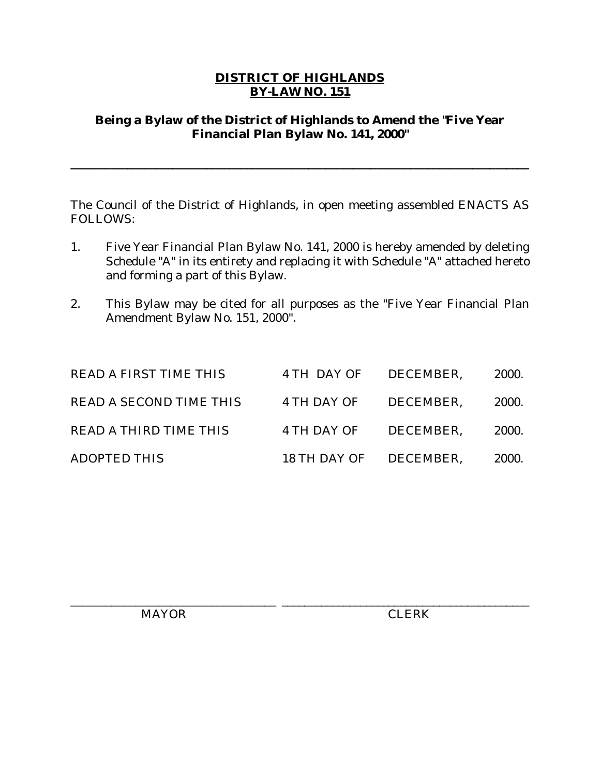### **DISTRICT OF HIGHLANDS BY-LAW NO. 151**

### **Being a Bylaw of the District of Highlands to Amend the "Five Year Financial Plan Bylaw No. 141, 2000"**

**\_\_\_\_\_\_\_\_\_\_\_\_\_\_\_\_\_\_\_\_\_\_\_\_\_\_\_\_\_\_\_\_\_\_\_\_\_\_\_\_\_\_\_\_\_\_\_\_\_\_\_\_\_\_\_\_\_\_\_\_\_\_\_\_\_\_\_\_\_\_\_\_\_\_\_\_\_\_\_\_\_**

The Council of the District of Highlands, in open meeting assembled ENACTS AS FOLLOWS:

- 1. Five Year Financial Plan Bylaw No. 141, 2000 is hereby amended by deleting Schedule "A" in its entirety and replacing it with Schedule "A" attached hereto and forming a part of this Bylaw.
- 2. This Bylaw may be cited for all purposes as the "Five Year Financial Plan Amendment Bylaw No. 151, 2000".

| <b>READ A FIRST TIME THIS</b>  | 4 TH DAY OF DECEMBER.  |           | <b>2000.</b> |
|--------------------------------|------------------------|-----------|--------------|
| <b>READ A SECOND TIME THIS</b> | 4 TH DAY OF DECEMBER.  |           | <b>2000.</b> |
| <b>READ A THIRD TIME THIS</b>  | 4 TH DAY OF            | DECEMBER. | 2000.        |
| <b>ADOPTED THIS</b>            | 18 TH DAY OF DECEMBER. |           | 2000.        |

MAYOR CLERK

\_\_\_\_\_\_\_\_\_\_\_\_\_\_\_\_\_\_\_\_\_\_\_\_\_\_\_\_\_\_\_\_\_\_\_ \_\_\_\_\_\_\_\_\_\_\_\_\_\_\_\_\_\_\_\_\_\_\_\_\_\_\_\_\_\_\_\_\_\_\_\_\_\_\_\_\_\_\_\_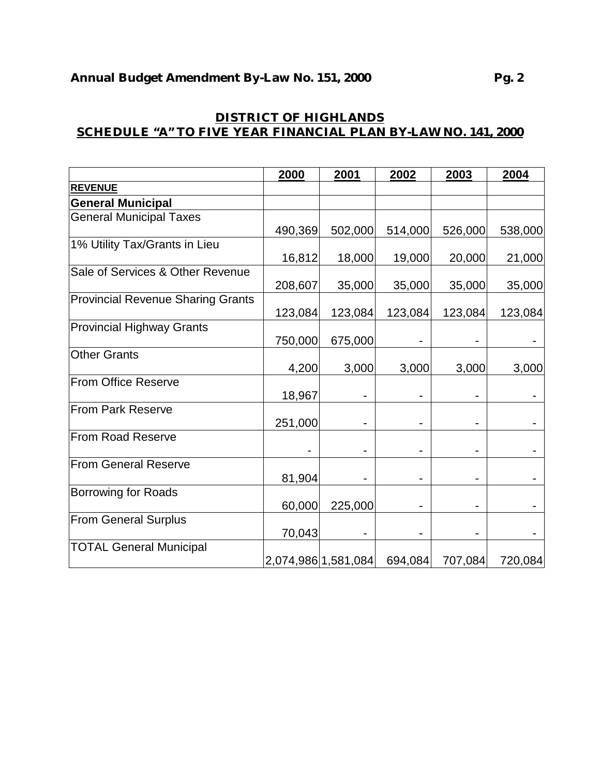|                                          | 2000    | 2001                | 2002                         | 2003    | 2004    |
|------------------------------------------|---------|---------------------|------------------------------|---------|---------|
| <b>REVENUE</b>                           |         |                     |                              |         |         |
| <b>General Municipal</b>                 |         |                     |                              |         |         |
| <b>General Municipal Taxes</b>           |         |                     |                              |         |         |
|                                          | 490,369 | 502,000             | 514,000                      | 526,000 | 538,000 |
| 1% Utility Tax/Grants in Lieu            |         |                     |                              |         |         |
|                                          | 16,812  | 18,000              | 19,000                       | 20,000  | 21,000  |
| Sale of Services & Other Revenue         |         |                     |                              |         |         |
|                                          | 208,607 | 35,000              | 35,000                       | 35,000  | 35,000  |
| <b>Provincial Revenue Sharing Grants</b> |         |                     |                              |         |         |
|                                          | 123,084 | 123,084             | 123,084                      | 123,084 | 123,084 |
| <b>Provincial Highway Grants</b>         |         |                     |                              |         |         |
|                                          | 750,000 | 675,000             |                              |         |         |
| <b>Other Grants</b>                      |         |                     |                              |         |         |
|                                          | 4,200   | 3,000               | 3,000                        | 3,000   | 3,000   |
| From Office Reserve                      |         |                     |                              |         |         |
|                                          | 18,967  |                     |                              |         |         |
| From Park Reserve                        |         |                     |                              |         |         |
|                                          | 251,000 |                     |                              |         |         |
| <b>From Road Reserve</b>                 |         |                     |                              |         |         |
| <b>From General Reserve</b>              |         |                     |                              |         |         |
|                                          | 81,904  |                     |                              |         |         |
| Borrowing for Roads                      |         |                     |                              |         |         |
|                                          | 60,000  | 225,000             | $\qquad \qquad \blacksquare$ |         |         |
| <b>From General Surplus</b>              |         |                     |                              |         |         |
|                                          | 70,043  |                     |                              |         |         |
| <b>TOTAL General Municipal</b>           |         |                     |                              |         |         |
|                                          |         | 2,074,986 1,581,084 | 694,084                      | 707,084 | 720,084 |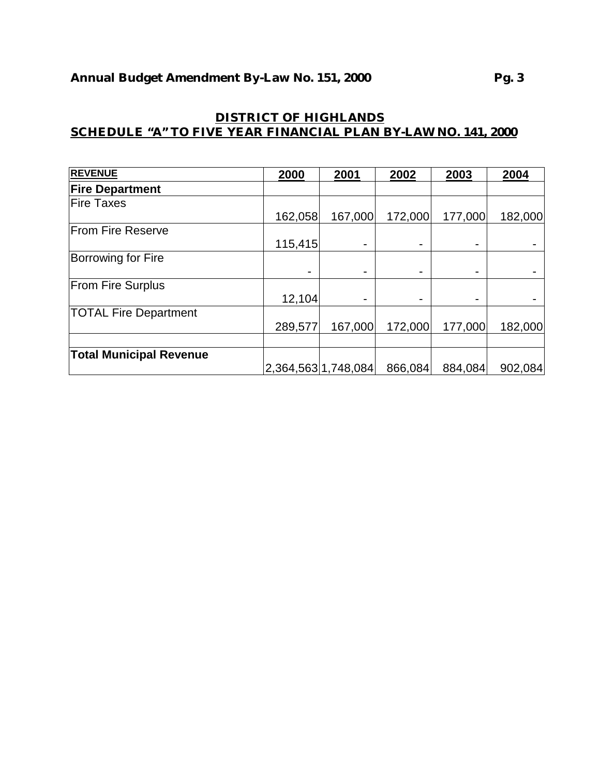| <b>REVENUE</b>                 | 2000    | 2001                | 2002    | 2003    | 2004    |
|--------------------------------|---------|---------------------|---------|---------|---------|
| <b>Fire Department</b>         |         |                     |         |         |         |
| <b>Fire Taxes</b>              |         |                     |         |         |         |
|                                | 162,058 | 167,000             | 172,000 | 177,000 | 182,000 |
| <b>From Fire Reserve</b>       |         |                     |         |         |         |
|                                | 115,415 |                     |         |         |         |
| <b>Borrowing for Fire</b>      |         |                     |         |         |         |
|                                |         |                     |         |         |         |
| <b>From Fire Surplus</b>       |         |                     |         |         |         |
|                                | 12,104  |                     |         |         |         |
| <b>TOTAL Fire Department</b>   |         |                     |         |         |         |
|                                | 289,577 | 167,000             | 172,000 | 177,000 | 182,000 |
|                                |         |                     |         |         |         |
| <b>Total Municipal Revenue</b> |         |                     |         |         |         |
|                                |         | 2,364,563 1,748,084 | 866,084 | 884,084 | 902,084 |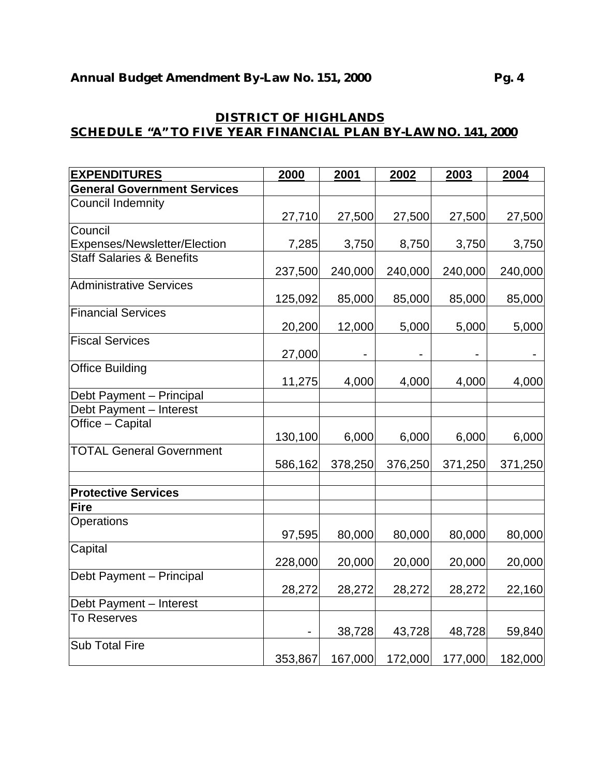| <b>EXPENDITURES</b>                  | 2000    | 2001    | 2002           | 2003    | 2004           |
|--------------------------------------|---------|---------|----------------|---------|----------------|
| <b>General Government Services</b>   |         |         |                |         |                |
| <b>Council Indemnity</b>             |         |         |                |         |                |
|                                      | 27,710  | 27,500  | 27,500         | 27,500  | 27,500         |
| Council                              |         |         |                |         |                |
| Expenses/Newsletter/Election         | 7,285   | 3,750   | 8,750          | 3,750   | 3,750          |
| <b>Staff Salaries &amp; Benefits</b> |         |         |                |         |                |
|                                      | 237,500 | 240,000 | 240,000        | 240,000 | 240,000        |
| <b>Administrative Services</b>       |         |         |                |         |                |
|                                      | 125,092 | 85,000  | 85,000         | 85,000  | 85,000         |
| <b>Financial Services</b>            |         |         |                |         |                |
|                                      | 20,200  | 12,000  | 5,000          | 5,000   | 5,000          |
| <b>Fiscal Services</b>               |         |         |                |         |                |
|                                      | 27,000  |         | $\blacksquare$ |         | $\blacksquare$ |
| <b>Office Building</b>               |         |         |                |         |                |
|                                      | 11,275  | 4,000   | 4,000          | 4,000   | 4,000          |
| Debt Payment - Principal             |         |         |                |         |                |
| Debt Payment - Interest              |         |         |                |         |                |
| Office - Capital                     |         |         |                |         |                |
|                                      | 130,100 | 6,000   | 6,000          | 6,000   | 6,000          |
| <b>TOTAL General Government</b>      |         |         |                |         |                |
|                                      | 586,162 | 378,250 | 376,250        | 371,250 | 371,250        |
|                                      |         |         |                |         |                |
| <b>Protective Services</b>           |         |         |                |         |                |
| <b>Fire</b>                          |         |         |                |         |                |
| Operations                           |         |         |                |         |                |
|                                      | 97,595  | 80,000  | 80,000         | 80,000  | 80,000         |
| Capital                              |         |         |                |         |                |
|                                      | 228,000 | 20,000  | 20,000         | 20,000  | 20,000         |
| Debt Payment - Principal             |         |         |                |         |                |
|                                      | 28,272  | 28,272  | 28,272         | 28,272  | 22,160         |
| Debt Payment - Interest              |         |         |                |         |                |
| <b>To Reserves</b>                   |         |         |                |         |                |
|                                      |         | 38,728  | 43,728         | 48,728  | 59,840         |
| <b>Sub Total Fire</b>                |         |         |                |         |                |
|                                      | 353,867 | 167,000 | 172,000        | 177,000 | 182,000        |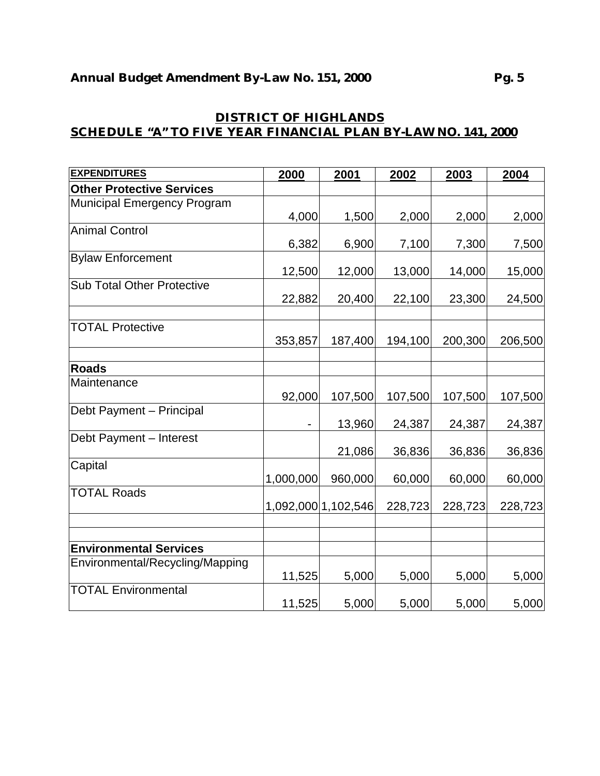| <b>EXPENDITURES</b>               | 2000      | 2001                | 2002    | 2003    | 2004    |
|-----------------------------------|-----------|---------------------|---------|---------|---------|
| <b>Other Protective Services</b>  |           |                     |         |         |         |
| Municipal Emergency Program       |           |                     |         |         |         |
|                                   | 4,000     | 1,500               | 2,000   | 2,000   | 2,000   |
| <b>Animal Control</b>             |           |                     |         |         |         |
|                                   | 6,382     | 6,900               | 7,100   | 7,300   | 7,500   |
| <b>Bylaw Enforcement</b>          |           |                     |         |         |         |
|                                   | 12,500    | 12,000              | 13,000  | 14,000  | 15,000  |
| <b>Sub Total Other Protective</b> |           |                     |         |         |         |
|                                   | 22,882    | 20,400              | 22,100  | 23,300  | 24,500  |
| <b>TOTAL Protective</b>           |           |                     |         |         |         |
|                                   | 353,857   | 187,400             | 194,100 | 200,300 | 206,500 |
|                                   |           |                     |         |         |         |
| <b>Roads</b>                      |           |                     |         |         |         |
| Maintenance                       |           |                     |         |         |         |
|                                   | 92,000    | 107,500             | 107,500 | 107,500 | 107,500 |
| Debt Payment - Principal          |           |                     |         |         |         |
|                                   |           | 13,960              | 24,387  | 24,387  | 24,387  |
| Debt Payment - Interest           |           |                     |         |         |         |
|                                   |           | 21,086              | 36,836  | 36,836  | 36,836  |
| Capital                           |           |                     |         |         |         |
|                                   | 1,000,000 | 960,000             | 60,000  | 60,000  | 60,000  |
| <b>TOTAL Roads</b>                |           |                     |         |         |         |
|                                   |           | 1,092,000 1,102,546 | 228,723 | 228,723 | 228,723 |
|                                   |           |                     |         |         |         |
|                                   |           |                     |         |         |         |
| <b>Environmental Services</b>     |           |                     |         |         |         |
| Environmental/Recycling/Mapping   |           | 5,000               | 5,000   | 5,000   |         |
| <b>TOTAL Environmental</b>        | 11,525    |                     |         |         | 5,000   |
|                                   | 11,525    | 5,000               | 5,000   | 5,000   | 5,000   |